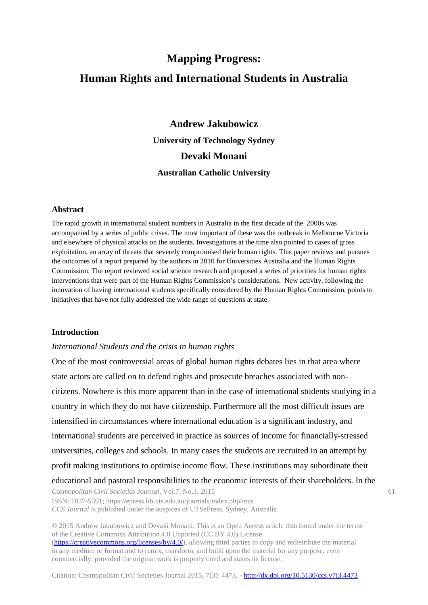# **Mapping Progress: Human Rights and International Students in Australia**

**Andrew Jakubowicz University of Technology Sydney Devaki Monani Australian Catholic University**

#### **Abstract**

The rapid growth in international student numbers in Australia in the first decade of the 2000s was accompanied by a series of public crises. The most important of these was the outbreak in Melbourne Victoria and elsewhere of physical attacks on the students. Investigations at the time also pointed to cases of gross exploitation, an array of threats that severely compromised their human rights. This paper reviews and pursues the outcomes of a report prepared by the authors in 2010 for Universities Australia and the Human Rights Commission. The report reviewed social science research and proposed a series of priorities for human rights interventions that were part of the Human Rights Commission's considerations. New activity, following the innovation of having international students specifically considered by the Human Rights Commission, points to initiatives that have not fully addressed the wide range of questions at state.

#### **Introduction**

#### *International Students and the crisis in human rights*

One of the most controversial areas of global human rights debates lies in that area where state actors are called on to defend rights and prosecute breaches associated with noncitizens. Nowhere is this more apparent than in the case of international students studying in a country in which they do not have citizenship. Furthermore all the most difficult issues are intensified in circumstances where international education is a significant industry, and international students are perceived in practice as sources of income for financially-stressed universities, colleges and schools. In many cases the students are recruited in an attempt by profit making institutions to optimise income flow. These institutions may subordinate their educational and pastoral responsibilities to the economic interests of their shareholders. In the

*Cosmopolitan Civil Societies Journal*, Vol.7, No.3, 2015 61

ISSN: 1837-5391; https://epress.lib.uts.edu.au/journals/index.php/mcs

*CCS Journal* is published under the auspices of UTSePress, Sydney, Australia

© 2015 Andrew Jakubowicz and Devaki Monani. This is an Open Access article distributed under the terms of the Creative Commons Attribution 4.0 Unported (CC BY 4.0) License [\(https://creativecommons.org/licenses/by/4.0/\)](https://creativecommons.org/licenses/by/4.0/), allowing third parties to copy and redistribute the material in any medium or format and to remix, transform, and build upon the material for any purpose, even commercially, provided the original work is properly cited and states its license.

Citation: Cosmopolitan Civil Societies Journal 2015, 7(3): 4473, - <http://dx.doi.org/10.5130/ccs.v7i3.4473>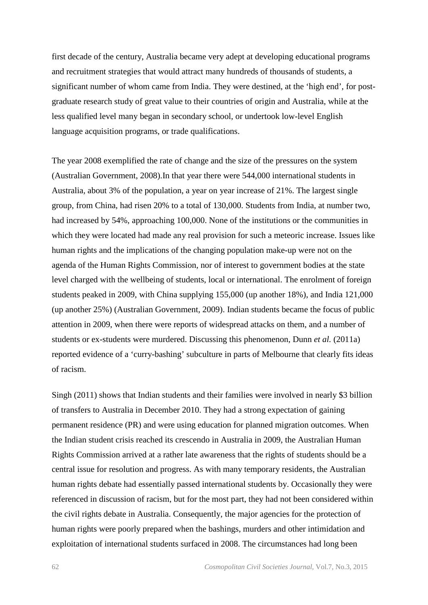first decade of the century, Australia became very adept at developing educational programs and recruitment strategies that would attract many hundreds of thousands of students, a significant number of whom came from India. They were destined, at the 'high end', for postgraduate research study of great value to their countries of origin and Australia, while at the less qualified level many began in secondary school, or undertook low-level English language acquisition programs, or trade qualifications.

The year 2008 exemplified the rate of change and the size of the pressures on the system (Australian Government, 2008).In that year there were 544,000 international students in Australia, about 3% of the population, a year on year increase of 21%. The largest single group, from China, had risen 20% to a total of 130,000. Students from India, at number two, had increased by 54%, approaching 100,000. None of the institutions or the communities in which they were located had made any real provision for such a meteoric increase. Issues like human rights and the implications of the changing population make-up were not on the agenda of the Human Rights Commission, nor of interest to government bodies at the state level charged with the wellbeing of students, local or international. The enrolment of foreign students peaked in 2009, with China supplying 155,000 (up another 18%), and India 121,000 (up another 25%) (Australian Government, 2009). Indian students became the focus of public attention in 2009, when there were reports of widespread attacks on them, and a number of students or ex-students were murdered. Discussing this phenomenon, Dunn *et al.* (2011a) reported evidence of a 'curry-bashing' subculture in parts of Melbourne that clearly fits ideas of racism.

Singh (2011) shows that Indian students and their families were involved in nearly \$3 billion of transfers to Australia in December 2010. They had a strong expectation of gaining permanent residence (PR) and were using education for planned migration outcomes. When the Indian student crisis reached its crescendo in Australia in 2009, the Australian Human Rights Commission arrived at a rather late awareness that the rights of students should be a central issue for resolution and progress. As with many temporary residents, the Australian human rights debate had essentially passed international students by. Occasionally they were referenced in discussion of racism, but for the most part, they had not been considered within the civil rights debate in Australia. Consequently, the major agencies for the protection of human rights were poorly prepared when the bashings, murders and other intimidation and exploitation of international students surfaced in 2008. The circumstances had long been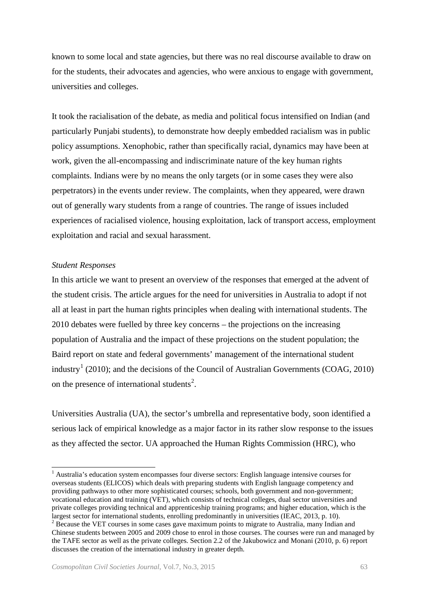known to some local and state agencies, but there was no real discourse available to draw on for the students, their advocates and agencies, who were anxious to engage with government, universities and colleges.

It took the racialisation of the debate, as media and political focus intensified on Indian (and particularly Punjabi students), to demonstrate how deeply embedded racialism was in public policy assumptions. Xenophobic, rather than specifically racial, dynamics may have been at work, given the all-encompassing and indiscriminate nature of the key human rights complaints. Indians were by no means the only targets (or in some cases they were also perpetrators) in the events under review. The complaints, when they appeared, were drawn out of generally wary students from a range of countries. The range of issues included experiences of racialised violence, housing exploitation, lack of transport access, employment exploitation and racial and sexual harassment.

#### *Student Responses*

-

In this article we want to present an overview of the responses that emerged at the advent of the student crisis. The article argues for the need for universities in Australia to adopt if not all at least in part the human rights principles when dealing with international students. The 2010 debates were fuelled by three key concerns – the projections on the increasing population of Australia and the impact of these projections on the student population; the Baird report on state and federal governments' management of the international student industry<sup>[1](#page-2-0)</sup> (2010); and the decisions of the Council of Australian Governments (COAG, 2010) on the presence of international students<sup>[2](#page-2-1)</sup>.

Universities Australia (UA), the sector's umbrella and representative body, soon identified a serious lack of empirical knowledge as a major factor in its rather slow response to the issues as they affected the sector. UA approached the Human Rights Commission (HRC), who

<span id="page-2-0"></span><sup>1</sup> Australia's education system encompasses four diverse sectors: English language intensive courses for overseas students (ELICOS) which deals with preparing students with English language competency and providing pathways to other more sophisticated courses; schools, both government and non-government; vocational education and training (VET), which consists of technical colleges, dual sector universities and private colleges providing technical and apprenticeship training programs; and higher education, which is the largest sector for international students, enrolling predominantly in universities (IEAC, 2013, p. 10).

<span id="page-2-1"></span><sup>&</sup>lt;sup>2</sup> Because the VET courses in some cases gave maximum points to migrate to Australia, many Indian and Chinese students between 2005 and 2009 chose to enrol in those courses. The courses were run and managed by the TAFE sector as well as the private colleges. Section 2.2 of the Jakubowicz and Monani (2010, p. 6) report discusses the creation of the international industry in greater depth.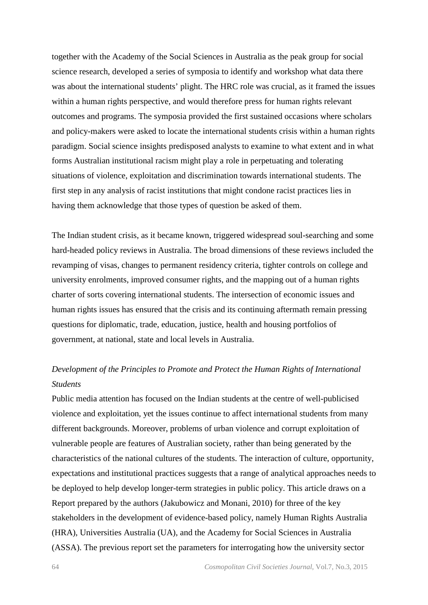together with the Academy of the Social Sciences in Australia as the peak group for social science research, developed a series of symposia to identify and workshop what data there was about the international students' plight. The HRC role was crucial, as it framed the issues within a human rights perspective, and would therefore press for human rights relevant outcomes and programs. The symposia provided the first sustained occasions where scholars and policy-makers were asked to locate the international students crisis within a human rights paradigm. Social science insights predisposed analysts to examine to what extent and in what forms Australian institutional racism might play a role in perpetuating and tolerating situations of violence, exploitation and discrimination towards international students. The first step in any analysis of racist institutions that might condone racist practices lies in having them acknowledge that those types of question be asked of them.

The Indian student crisis, as it became known, triggered widespread soul-searching and some hard-headed policy reviews in Australia. The broad dimensions of these reviews included the revamping of visas, changes to permanent residency criteria, tighter controls on college and university enrolments, improved consumer rights, and the mapping out of a human rights charter of sorts covering international students. The intersection of economic issues and human rights issues has ensured that the crisis and its continuing aftermath remain pressing questions for diplomatic, trade, education, justice, health and housing portfolios of government, at national, state and local levels in Australia.

# *Development of the Principles to Promote and Protect the Human Rights of International Students*

Public media attention has focused on the Indian students at the centre of well-publicised violence and exploitation, yet the issues continue to affect international students from many different backgrounds. Moreover, problems of urban violence and corrupt exploitation of vulnerable people are features of Australian society, rather than being generated by the characteristics of the national cultures of the students. The interaction of culture, opportunity, expectations and institutional practices suggests that a range of analytical approaches needs to be deployed to help develop longer-term strategies in public policy. This article draws on a Report prepared by the authors (Jakubowicz and Monani, 2010) for three of the key stakeholders in the development of evidence-based policy, namely Human Rights Australia (HRA), Universities Australia (UA), and the Academy for Social Sciences in Australia (ASSA). The previous report set the parameters for interrogating how the university sector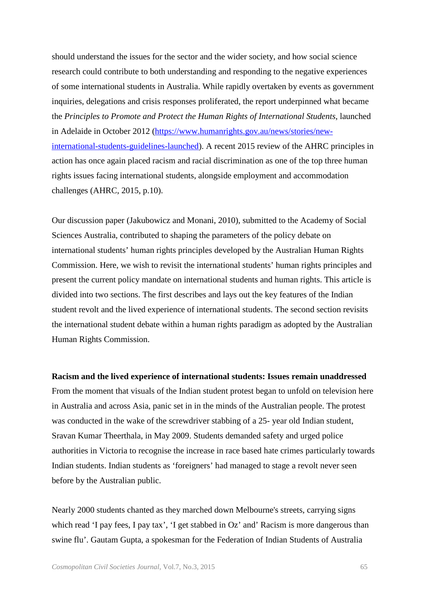should understand the issues for the sector and the wider society, and how social science research could contribute to both understanding and responding to the negative experiences of some international students in Australia. While rapidly overtaken by events as government inquiries, delegations and crisis responses proliferated, the report underpinned what became the *Principles to Promote and Protect the Human Rights of International Students*, launched in Adelaide in October 2012 [\(https://www.humanrights.gov.au/news/stories/new](https://www.humanrights.gov.au/news/stories/new-international-students-guidelines-launched)[international-students-guidelines-launched\)](https://www.humanrights.gov.au/news/stories/new-international-students-guidelines-launched). A recent 2015 review of the AHRC principles in action has once again placed racism and racial discrimination as one of the top three human rights issues facing international students, alongside employment and accommodation challenges (AHRC, 2015, p.10).

Our discussion paper (Jakubowicz and Monani, 2010), submitted to the Academy of Social Sciences Australia, contributed to shaping the parameters of the policy debate on international students' human rights principles developed by the Australian Human Rights Commission. Here, we wish to revisit the international students' human rights principles and present the current policy mandate on international students and human rights. This article is divided into two sections. The first describes and lays out the key features of the Indian student revolt and the lived experience of international students. The second section revisits the international student debate within a human rights paradigm as adopted by the Australian Human Rights Commission.

**Racism and the lived experience of international students: Issues remain unaddressed**  From the moment that visuals of the Indian student protest began to unfold on television here in Australia and across Asia, panic set in in the minds of the Australian people. The protest was conducted in the wake of the screwdriver stabbing of a 25- year old Indian student, Sravan Kumar Theerthala, in May 2009. Students demanded safety and urged police authorities in Victoria to recognise the increase in race based hate crimes particularly towards Indian students. Indian students as 'foreigners' had managed to stage a revolt never seen before by the Australian public.

Nearly 2000 students chanted as they marched down Melbourne's streets, carrying signs which read 'I pay fees, I pay tax', 'I get stabbed in Oz' and' Racism is more dangerous than swine flu'. Gautam Gupta, a spokesman for the Federation of Indian Students of Australia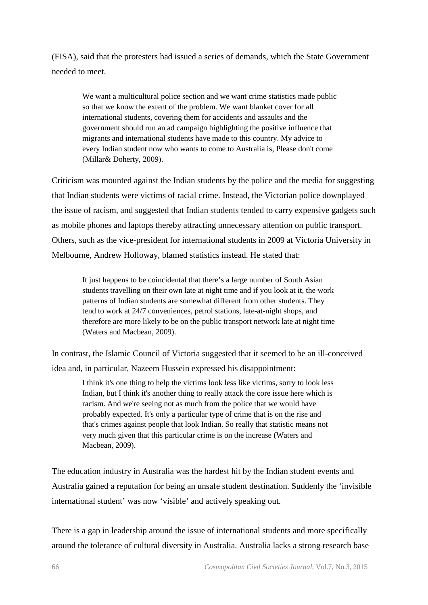(FISA), said that the protesters had issued a series of demands, which the State Government needed to meet.

We want a multicultural police section and we want crime statistics made public so that we know the extent of the problem. We want blanket cover for all international students, covering them for accidents and assaults and the government should run an ad campaign highlighting the positive influence that migrants and international students have made to this country. My advice to every Indian student now who wants to come to Australia is, Please don't come (Millar& Doherty, 2009).

Criticism was mounted against the Indian students by the police and the media for suggesting that Indian students were victims of racial crime. Instead, the Victorian police downplayed the issue of racism, and suggested that Indian students tended to carry expensive gadgets such as mobile phones and laptops thereby attracting unnecessary attention on public transport. Others, such as the vice-president for international students in 2009 at Victoria University in Melbourne, Andrew Holloway, blamed statistics instead. He stated that:

It just happens to be coincidental that there's a large number of South Asian students travelling on their own late at night time and if you look at it, the work patterns of Indian students are somewhat different from other students. They tend to work at 24/7 conveniences, petrol stations, late-at-night shops, and therefore are more likely to be on the public transport network late at night time (Waters and Macbean, 2009).

In contrast, the Islamic Council of Victoria suggested that it seemed to be an ill-conceived idea and, in particular, Nazeem Hussein expressed his disappointment:

I think it's one thing to help the victims look less like victims, sorry to look less Indian, but I think it's another thing to really attack the core issue here which is racism. And we're seeing not as much from the police that we would have probably expected. It's only a particular type of crime that is on the rise and that's crimes against people that look Indian. So really that statistic means not very much given that this particular crime is on the increase (Waters and Macbean, 2009).

The education industry in Australia was the hardest hit by the Indian student events and Australia gained a reputation for being an unsafe student destination. Suddenly the 'invisible international student' was now 'visible' and actively speaking out.

There is a gap in leadership around the issue of international students and more specifically around the tolerance of cultural diversity in Australia. Australia lacks a strong research base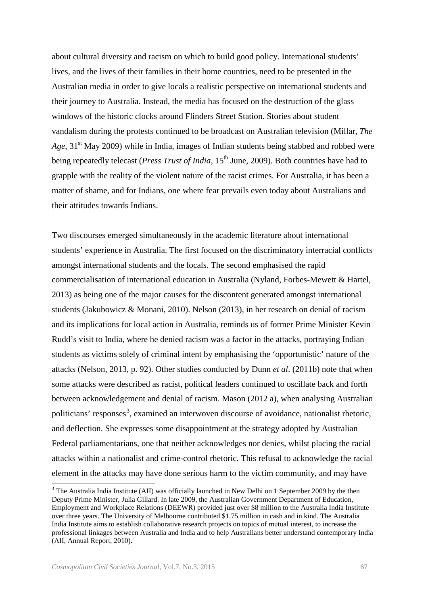about cultural diversity and racism on which to build good policy. International students' lives, and the lives of their families in their home countries, need to be presented in the Australian media in order to give locals a realistic perspective on international students and their journey to Australia. Instead, the media has focused on the destruction of the glass windows of the historic clocks around Flinders Street Station. Stories about student vandalism during the protests continued to be broadcast on Australian television (Millar, *The Age*,  $31<sup>st</sup>$  May 2009) while in India, images of Indian students being stabbed and robbed were being repeatedly telecast (*Press Trust of India*, 15<sup>th</sup> June, 2009). Both countries have had to grapple with the reality of the violent nature of the racist crimes. For Australia, it has been a matter of shame, and for Indians, one where fear prevails even today about Australians and their attitudes towards Indians.

Two discourses emerged simultaneously in the academic literature about international students' experience in Australia. The first focused on the discriminatory interracial conflicts amongst international students and the locals. The second emphasised the rapid commercialisation of international education in Australia (Nyland, Forbes-Mewett & Hartel, 2013) as being one of the major causes for the discontent generated amongst international students (Jakubowicz & Monani, 2010). Nelson (2013), in her research on denial of racism and its implications for local action in Australia, reminds us of former Prime Minister Kevin Rudd's visit to India, where he denied racism was a factor in the attacks, portraying Indian students as victims solely of criminal intent by emphasising the 'opportunistic' nature of the attacks (Nelson, 2013, p. 92). Other studies conducted by Dunn *et al*. (2011b) note that when some attacks were described as racist, political leaders continued to oscillate back and forth between acknowledgement and denial of racism. Mason (2012 a), when analysing Australian politicians' responses<sup>[3](#page-6-0)</sup>, examined an interwoven discourse of avoidance, nationalist rhetoric, and deflection. She expresses some disappointment at the strategy adopted by Australian Federal parliamentarians, one that neither acknowledges nor denies, whilst placing the racial attacks within a nationalist and crime-control rhetoric. This refusal to acknowledge the racial element in the attacks may have done serious harm to the victim community, and may have

1

<span id="page-6-0"></span><sup>&</sup>lt;sup>3</sup> The Australia India Institute (AII) was officially launched in New Delhi on 1 September 2009 by the then Deputy Prime Minister, Julia Gillard. In late 2009, the Australian Government Department of Education, Employment and Workplace Relations (DEEWR) provided just over \$8 million to the Australia India Institute over three years. The University of Melbourne contributed \$1.75 million in cash and in kind. The Australia India Institute aims to establish collaborative research projects on topics of mutual interest, to increase the professional linkages between Australia and India and to help Australians better understand contemporary India (AII, Annual Report, 2010).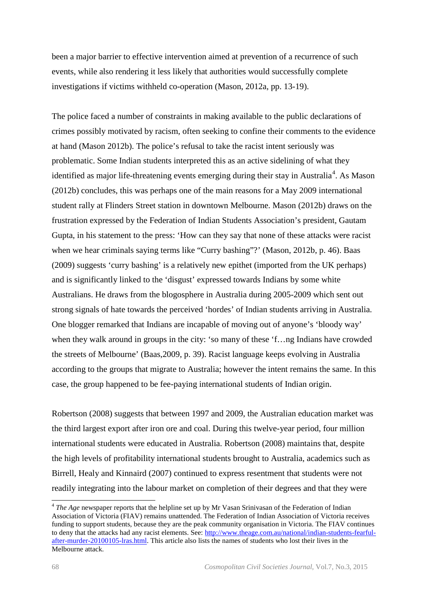been a major barrier to effective intervention aimed at prevention of a recurrence of such events, while also rendering it less likely that authorities would successfully complete investigations if victims withheld co-operation (Mason, 2012a, pp. 13-19).

The police faced a number of constraints in making available to the public declarations of crimes possibly motivated by racism, often seeking to confine their comments to the evidence at hand (Mason 2012b). The police's refusal to take the racist intent seriously was problematic. Some Indian students interpreted this as an active sidelining of what they identified as major life-threatening events emerging during their stay in Australia<sup>[4](#page-7-0)</sup>. As Mason (2012b) concludes, this was perhaps one of the main reasons for a May 2009 international student rally at Flinders Street station in downtown Melbourne. Mason (2012b) draws on the frustration expressed by the Federation of Indian Students Association's president, Gautam Gupta, in his statement to the press: 'How can they say that none of these attacks were racist when we hear criminals saying terms like "Curry bashing"?' (Mason, 2012b, p. 46). Baas (2009) suggests 'curry bashing' is a relatively new epithet (imported from the UK perhaps) and is significantly linked to the 'disgust' expressed towards Indians by some white Australians. He draws from the blogosphere in Australia during 2005-2009 which sent out strong signals of hate towards the perceived 'hordes' of Indian students arriving in Australia. One blogger remarked that Indians are incapable of moving out of anyone's 'bloody way' when they walk around in groups in the city: 'so many of these 'f…ng Indians have crowded the streets of Melbourne' (Baas,2009, p. 39). Racist language keeps evolving in Australia according to the groups that migrate to Australia; however the intent remains the same. In this case, the group happened to be fee-paying international students of Indian origin.

Robertson (2008) suggests that between 1997 and 2009, the Australian education market was the third largest export after iron ore and coal. During this twelve-year period, four million international students were educated in Australia. Robertson (2008) maintains that, despite the high levels of profitability international students brought to Australia, academics such as Birrell, Healy and Kinnaird (2007) continued to express resentment that students were not readily integrating into the labour market on completion of their degrees and that they were

-

<span id="page-7-0"></span><sup>&</sup>lt;sup>4</sup> The Age newspaper reports that the helpline set up by Mr Vasan Srinivasan of the Federation of Indian Association of Victoria (FIAV) remains unattended. The Federation of Indian Association of Victoria receives funding to support students, because they are the peak community organisation in Victoria. The FIAV continues to deny that the attacks had any racist elements. See: [http://www.theage.com.au/national/indian-students-fearful](http://www.theage.com.au/national/indian-students-fearful-after-murder-20100105-lras.html)[after-murder-20100105-lras.html.](http://www.theage.com.au/national/indian-students-fearful-after-murder-20100105-lras.html) This article also lists the names of students who lost their lives in the Melbourne attack.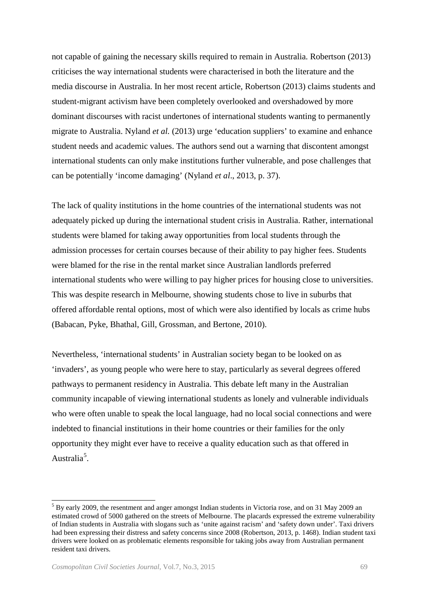not capable of gaining the necessary skills required to remain in Australia. Robertson (2013) criticises the way international students were characterised in both the literature and the media discourse in Australia. In her most recent article, Robertson (2013) claims students and student-migrant activism have been completely overlooked and overshadowed by more dominant discourses with racist undertones of international students wanting to permanently migrate to Australia. Nyland *et al.* (2013) urge 'education suppliers' to examine and enhance student needs and academic values. The authors send out a warning that discontent amongst international students can only make institutions further vulnerable, and pose challenges that can be potentially 'income damaging' (Nyland *et al*., 2013, p. 37).

The lack of quality institutions in the home countries of the international students was not adequately picked up during the international student crisis in Australia. Rather, international students were blamed for taking away opportunities from local students through the admission processes for certain courses because of their ability to pay higher fees. Students were blamed for the rise in the rental market since Australian landlords preferred international students who were willing to pay higher prices for housing close to universities. This was despite research in Melbourne, showing students chose to live in suburbs that offered affordable rental options, most of which were also identified by locals as crime hubs (Babacan, Pyke, Bhathal, Gill, Grossman, and Bertone, 2010).

Nevertheless, 'international students' in Australian society began to be looked on as 'invaders', as young people who were here to stay, particularly as several degrees offered pathways to permanent residency in Australia. This debate left many in the Australian community incapable of viewing international students as lonely and vulnerable individuals who were often unable to speak the local language, had no local social connections and were indebted to financial institutions in their home countries or their families for the only opportunity they might ever have to receive a quality education such as that offered in Australia<sup>[5](#page-8-0)</sup>.

-

<span id="page-8-0"></span><sup>&</sup>lt;sup>5</sup> By early 2009, the resentment and anger amongst Indian students in Victoria rose, and on 31 May 2009 an estimated crowd of 5000 gathered on the streets of Melbourne. The placards expressed the extreme vulnerability of Indian students in Australia with slogans such as 'unite against racism' and 'safety down under'. Taxi drivers had been expressing their distress and safety concerns since 2008 (Robertson, 2013, p. 1468). Indian student taxi drivers were looked on as problematic elements responsible for taking jobs away from Australian permanent resident taxi drivers.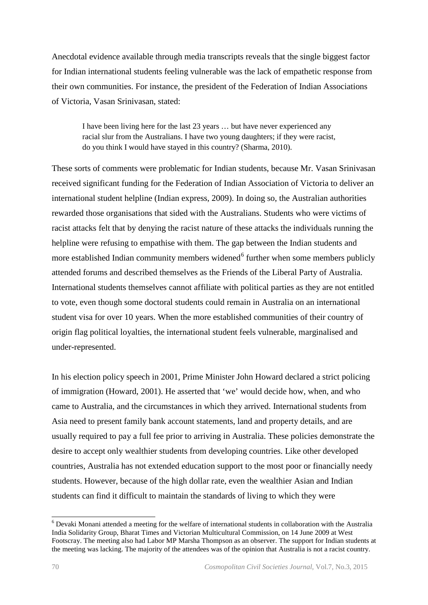Anecdotal evidence available through media transcripts reveals that the single biggest factor for Indian international students feeling vulnerable was the lack of empathetic response from their own communities. For instance, the president of the Federation of Indian Associations of Victoria, Vasan Srinivasan, stated:

I have been living here for the last 23 years … but have never experienced any racial slur from the Australians. I have two young daughters; if they were racist, do you think I would have stayed in this country? (Sharma, 2010).

These sorts of comments were problematic for Indian students, because Mr. Vasan Srinivasan received significant funding for the Federation of Indian Association of Victoria to deliver an international student helpline (Indian express, 2009). In doing so, the Australian authorities rewarded those organisations that sided with the Australians. Students who were victims of racist attacks felt that by denying the racist nature of these attacks the individuals running the helpline were refusing to empathise with them. The gap between the Indian students and more established Indian community members widened $<sup>6</sup>$  $<sup>6</sup>$  $<sup>6</sup>$  further when some members publicly</sup> attended forums and described themselves as the Friends of the Liberal Party of Australia. International students themselves cannot affiliate with political parties as they are not entitled to vote, even though some doctoral students could remain in Australia on an international student visa for over 10 years. When the more established communities of their country of origin flag political loyalties, the international student feels vulnerable, marginalised and under-represented.

In his election policy speech in 2001, Prime Minister John Howard declared a strict policing of immigration (Howard, 2001). He asserted that 'we' would decide how, when, and who came to Australia, and the circumstances in which they arrived. International students from Asia need to present family bank account statements, land and property details, and are usually required to pay a full fee prior to arriving in Australia. These policies demonstrate the desire to accept only wealthier students from developing countries. Like other developed countries, Australia has not extended education support to the most poor or financially needy students. However, because of the high dollar rate, even the wealthier Asian and Indian students can find it difficult to maintain the standards of living to which they were

1

<span id="page-9-0"></span> $6$  Devaki Monani attended a meeting for the welfare of international students in collaboration with the Australia India Solidarity Group, Bharat Times and Victorian Multicultural Commission, on 14 June 2009 at West Footscray. The meeting also had Labor MP Marsha Thompson as an observer. The support for Indian students at the meeting was lacking. The majority of the attendees was of the opinion that Australia is not a racist country.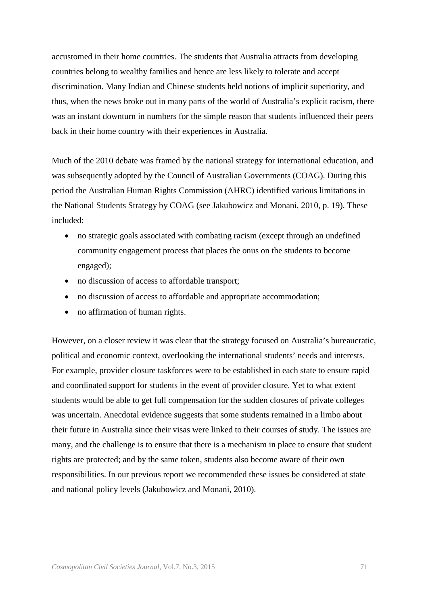accustomed in their home countries. The students that Australia attracts from developing countries belong to wealthy families and hence are less likely to tolerate and accept discrimination. Many Indian and Chinese students held notions of implicit superiority, and thus, when the news broke out in many parts of the world of Australia's explicit racism, there was an instant downturn in numbers for the simple reason that students influenced their peers back in their home country with their experiences in Australia.

Much of the 2010 debate was framed by the national strategy for international education, and was subsequently adopted by the Council of Australian Governments (COAG). During this period the Australian Human Rights Commission (AHRC) identified various limitations in the National Students Strategy by COAG (see Jakubowicz and Monani, 2010, p. 19). These included:

- no strategic goals associated with combating racism (except through an undefined community engagement process that places the onus on the students to become engaged);
- no discussion of access to affordable transport;
- no discussion of access to affordable and appropriate accommodation;
- no affirmation of human rights.

However, on a closer review it was clear that the strategy focused on Australia's bureaucratic, political and economic context, overlooking the international students' needs and interests. For example, provider closure taskforces were to be established in each state to ensure rapid and coordinated support for students in the event of provider closure. Yet to what extent students would be able to get full compensation for the sudden closures of private colleges was uncertain. Anecdotal evidence suggests that some students remained in a limbo about their future in Australia since their visas were linked to their courses of study. The issues are many, and the challenge is to ensure that there is a mechanism in place to ensure that student rights are protected; and by the same token, students also become aware of their own responsibilities. In our previous report we recommended these issues be considered at state and national policy levels (Jakubowicz and Monani, 2010).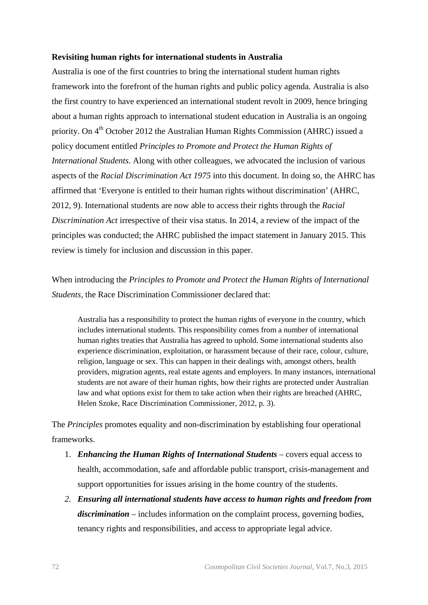### **Revisiting human rights for international students in Australia**

Australia is one of the first countries to bring the international student human rights framework into the forefront of the human rights and public policy agenda. Australia is also the first country to have experienced an international student revolt in 2009, hence bringing about a human rights approach to international student education in Australia is an ongoing priority. On 4<sup>th</sup> October 2012 the Australian Human Rights Commission (AHRC) issued a policy document entitled *Principles to Promote and Protect the Human Rights of International Students*. Along with other colleagues, we advocated the inclusion of various aspects of the *Racial Discrimination Act 1975* into this document. In doing so, the AHRC has affirmed that 'Everyone is entitled to their human rights without discrimination' (AHRC, 2012, 9). International students are now able to access their rights through the *Racial Discrimination Act* irrespective of their visa status. In 2014, a review of the impact of the principles was conducted; the AHRC published the impact statement in January 2015. This review is timely for inclusion and discussion in this paper.

When introducing the *Principles to Promote and Protect the Human Rights of International Students,* the Race Discrimination Commissioner declared that:

Australia has a responsibility to protect the human rights of everyone in the country, which includes international students. This responsibility comes from a number of international human rights treaties that Australia has agreed to uphold. Some international students also experience discrimination, exploitation, or harassment because of their race, colour, culture, religion, language or sex. This can happen in their dealings with, amongst others, health providers, migration agents, real estate agents and employers. In many instances, international students are not aware of their human rights, how their rights are protected under Australian law and what options exist for them to take action when their rights are breached (AHRC, Helen Szoke, Race Discrimination Commissioner, 2012, p. 3).

The *Principles* promotes equality and non-discrimination by establishing four operational frameworks.

- 1. *Enhancing the Human Rights of International Students covers equal access to* health, accommodation, safe and affordable public transport, crisis-management and support opportunities for issues arising in the home country of the students.
- *2. Ensuring all international students have access to human rights and freedom from discrimination* – includes information on the complaint process, governing bodies, tenancy rights and responsibilities, and access to appropriate legal advice.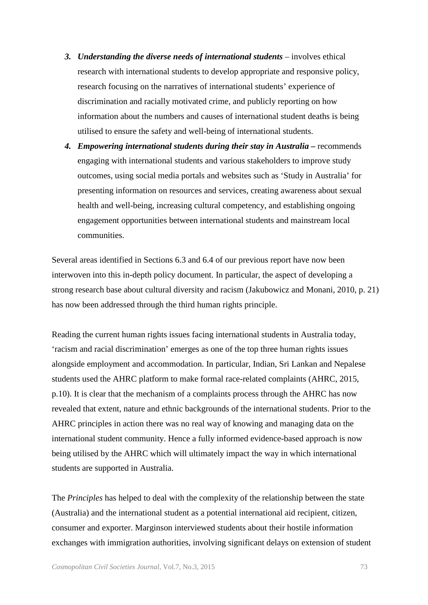- *3. Understanding the diverse needs of international students* involves ethical research with international students to develop appropriate and responsive policy, research focusing on the narratives of international students' experience of discrimination and racially motivated crime, and publicly reporting on how information about the numbers and causes of international student deaths is being utilised to ensure the safety and well-being of international students.
- *4. Empowering international students during their stay in Australia –* recommends engaging with international students and various stakeholders to improve study outcomes, using social media portals and websites such as 'Study in Australia' for presenting information on resources and services, creating awareness about sexual health and well-being, increasing cultural competency, and establishing ongoing engagement opportunities between international students and mainstream local communities.

Several areas identified in Sections 6.3 and 6.4 of our previous report have now been interwoven into this in-depth policy document. In particular, the aspect of developing a strong research base about cultural diversity and racism (Jakubowicz and Monani, 2010, p. 21) has now been addressed through the third human rights principle.

Reading the current human rights issues facing international students in Australia today, 'racism and racial discrimination' emerges as one of the top three human rights issues alongside employment and accommodation. In particular, Indian, Sri Lankan and Nepalese students used the AHRC platform to make formal race-related complaints (AHRC, 2015, p.10). It is clear that the mechanism of a complaints process through the AHRC has now revealed that extent, nature and ethnic backgrounds of the international students. Prior to the AHRC principles in action there was no real way of knowing and managing data on the international student community. Hence a fully informed evidence-based approach is now being utilised by the AHRC which will ultimately impact the way in which international students are supported in Australia.

The *Principles* has helped to deal with the complexity of the relationship between the state (Australia) and the international student as a potential international aid recipient, citizen, consumer and exporter. Marginson interviewed students about their hostile information exchanges with immigration authorities, involving significant delays on extension of student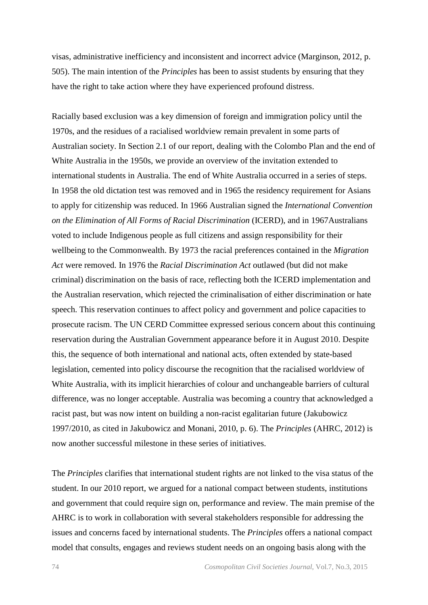visas, administrative inefficiency and inconsistent and incorrect advice (Marginson, 2012, p. 505). The main intention of the *Principles* has been to assist students by ensuring that they have the right to take action where they have experienced profound distress.

Racially based exclusion was a key dimension of foreign and immigration policy until the 1970s, and the residues of a racialised worldview remain prevalent in some parts of Australian society. In Section 2.1 of our report, dealing with the Colombo Plan and the end of White Australia in the 1950s, we provide an overview of the invitation extended to international students in Australia. The end of White Australia occurred in a series of steps. In 1958 the old dictation test was removed and in 1965 the residency requirement for Asians to apply for citizenship was reduced. In 1966 Australian signed the *International Convention on the Elimination of All Forms of Racial Discrimination* (ICERD), and in 1967Australians voted to include Indigenous people as full citizens and assign responsibility for their wellbeing to the Commonwealth. By 1973 the racial preferences contained in the *Migration Act* were removed. In 1976 the *Racial Discrimination Act* outlawed (but did not make criminal) discrimination on the basis of race, reflecting both the ICERD implementation and the Australian reservation, which rejected the criminalisation of either discrimination or hate speech. This reservation continues to affect policy and government and police capacities to prosecute racism. The UN CERD Committee expressed serious concern about this continuing reservation during the Australian Government appearance before it in August 2010. Despite this, the sequence of both international and national acts, often extended by state-based legislation, cemented into policy discourse the recognition that the racialised worldview of White Australia, with its implicit hierarchies of colour and unchangeable barriers of cultural difference, was no longer acceptable. Australia was becoming a country that acknowledged a racist past, but was now intent on building a non-racist egalitarian future (Jakubowicz 1997/2010, as cited in Jakubowicz and Monani, 2010, p. 6). The *Principles* (AHRC, 2012) is now another successful milestone in these series of initiatives.

The *Principles* clarifies that international student rights are not linked to the visa status of the student. In our 2010 report, we argued for a national compact between students, institutions and government that could require sign on, performance and review. The main premise of the AHRC is to work in collaboration with several stakeholders responsible for addressing the issues and concerns faced by international students. The *Principles* offers a national compact model that consults, engages and reviews student needs on an ongoing basis along with the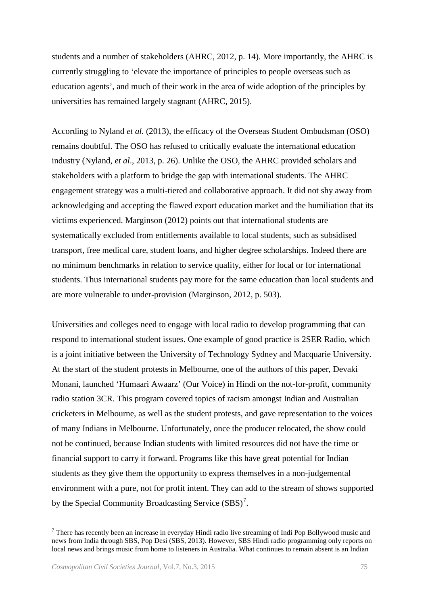students and a number of stakeholders (AHRC, 2012, p. 14). More importantly, the AHRC is currently struggling to 'elevate the importance of principles to people overseas such as education agents', and much of their work in the area of wide adoption of the principles by universities has remained largely stagnant (AHRC, 2015).

According to Nyland *et al.* (2013), the efficacy of the Overseas Student Ombudsman (OSO) remains doubtful. The OSO has refused to critically evaluate the international education industry (Nyland, *et al*., 2013, p. 26). Unlike the OSO, the AHRC provided scholars and stakeholders with a platform to bridge the gap with international students. The AHRC engagement strategy was a multi-tiered and collaborative approach. It did not shy away from acknowledging and accepting the flawed export education market and the humiliation that its victims experienced. Marginson (2012) points out that international students are systematically excluded from entitlements available to local students, such as subsidised transport, free medical care, student loans, and higher degree scholarships. Indeed there are no minimum benchmarks in relation to service quality, either for local or for international students. Thus international students pay more for the same education than local students and are more vulnerable to under-provision (Marginson, 2012, p. 503).

Universities and colleges need to engage with local radio to develop programming that can respond to international student issues. One example of good practice is 2SER Radio, which is a joint initiative between the University of Technology Sydney and Macquarie University. At the start of the student protests in Melbourne, one of the authors of this paper, Devaki Monani, launched 'Humaari Awaarz' (Our Voice) in Hindi on the not-for-profit, community radio station 3CR. This program covered topics of racism amongst Indian and Australian cricketers in Melbourne, as well as the student protests, and gave representation to the voices of many Indians in Melbourne. Unfortunately, once the producer relocated, the show could not be continued, because Indian students with limited resources did not have the time or financial support to carry it forward. Programs like this have great potential for Indian students as they give them the opportunity to express themselves in a non-judgemental environment with a pure, not for profit intent. They can add to the stream of shows supported by the Special Community Broadcasting Service  $(SBS)^7$  $(SBS)^7$ .

-

<span id="page-14-0"></span> $<sup>7</sup>$  There has recently been an increase in everyday Hindi radio live streaming of Indi Pop Bollywood music and</sup> news from India through SBS, Pop Desi (SBS, 2013). However, SBS Hindi radio programming only reports on local news and brings music from home to listeners in Australia. What continues to remain absent is an Indian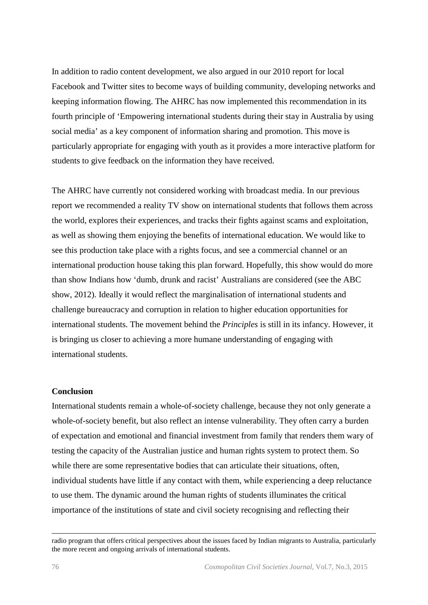In addition to radio content development, we also argued in our 2010 report for local Facebook and Twitter sites to become ways of building community, developing networks and keeping information flowing. The AHRC has now implemented this recommendation in its fourth principle of 'Empowering international students during their stay in Australia by using social media' as a key component of information sharing and promotion. This move is particularly appropriate for engaging with youth as it provides a more interactive platform for students to give feedback on the information they have received.

The AHRC have currently not considered working with broadcast media. In our previous report we recommended a reality TV show on international students that follows them across the world, explores their experiences, and tracks their fights against scams and exploitation, as well as showing them enjoying the benefits of international education. We would like to see this production take place with a rights focus, and see a commercial channel or an international production house taking this plan forward. Hopefully, this show would do more than show Indians how 'dumb, drunk and racist' Australians are considered (see the ABC show, 2012). Ideally it would reflect the marginalisation of international students and challenge bureaucracy and corruption in relation to higher education opportunities for international students. The movement behind the *Principles* is still in its infancy. However, it is bringing us closer to achieving a more humane understanding of engaging with international students.

## **Conclusion**

International students remain a whole-of-society challenge, because they not only generate a whole-of-society benefit, but also reflect an intense vulnerability. They often carry a burden of expectation and emotional and financial investment from family that renders them wary of testing the capacity of the Australian justice and human rights system to protect them. So while there are some representative bodies that can articulate their situations, often, individual students have little if any contact with them, while experiencing a deep reluctance to use them. The dynamic around the human rights of students illuminates the critical importance of the institutions of state and civil society recognising and reflecting their

1

radio program that offers critical perspectives about the issues faced by Indian migrants to Australia, particularly the more recent and ongoing arrivals of international students.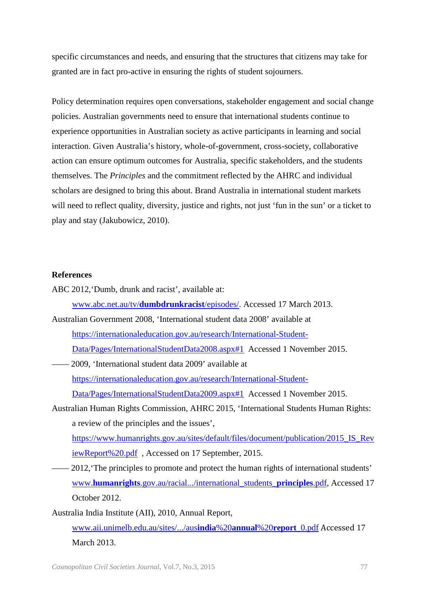specific circumstances and needs, and ensuring that the structures that citizens may take for granted are in fact pro-active in ensuring the rights of student sojourners.

Policy determination requires open conversations, stakeholder engagement and social change policies. Australian governments need to ensure that international students continue to experience opportunities in Australian society as active participants in learning and social interaction. Given Australia's history, whole-of-government, cross-society, collaborative action can ensure optimum outcomes for Australia, specific stakeholders, and the students themselves. The *Principles* and the commitment reflected by the AHRC and individual scholars are designed to bring this about. Brand Australia in international student markets will need to reflect quality, diversity, justice and rights, not just 'fun in the sun' or a ticket to play and stay (Jakubowicz, 2010).

#### **References**

- ABC 2012,'Dumb, drunk and racist', available at: [www.abc.net.au/tv/](http://www.abc.net.au/tv/dumbdrunkracist/episodes/)**dumbdrunkracist**/episodes/. Accessed 17 March 2013.
- Australian Government 2008, 'International student data 2008' available at [https://internationaleducation.gov.au/research/International-Student-](https://internationaleducation.gov.au/research/International-Student-Data/Pages/InternationalStudentData2008.aspx%231)[Data/Pages/InternationalStudentData2008.aspx#1](https://internationaleducation.gov.au/research/International-Student-Data/Pages/InternationalStudentData2008.aspx%231) Accessed 1 November 2015.
- —— 2009, 'International student data 2009' available at [https://internationaleducation.gov.au/research/International-Student-](https://internationaleducation.gov.au/research/International-Student-Data/Pages/InternationalStudentData2009.aspx%231)[Data/Pages/InternationalStudentData2009.aspx#1](https://internationaleducation.gov.au/research/International-Student-Data/Pages/InternationalStudentData2009.aspx%231) Accessed 1 November 2015.
- Australian Human Rights Commission, AHRC 2015, 'International Students Human Rights: a review of the principles and the issues',

[https://www.humanrights.gov.au/sites/default/files/document/publication/2015\\_IS\\_Rev](https://www.humanrights.gov.au/sites/default/files/document/publication/2015_IS_ReviewReport%20.pdf) [iewReport%20.pdf](https://www.humanrights.gov.au/sites/default/files/document/publication/2015_IS_ReviewReport%20.pdf) , Accessed on 17 September, 2015.

- 2012, The principles to promote and protect the human rights of international students' www.**humanrights**[.gov.au/racial.../international\\_students\\_](http://www.humanrights.gov.au/racial.../international_students_principles.pdf)**principles**.pdf, Accessed 17 October 2012.
- Australia India Institute (AII), 2010, Annual Report,

[www.aii.unimelb.edu.au/sites/.../aus](http://www.aii.unimelb.edu.au/sites/.../ausindia%20annual%20report_0.pdf)**india**%20**annual**%20**report**\_0.pdf Accessed 17 March 2013.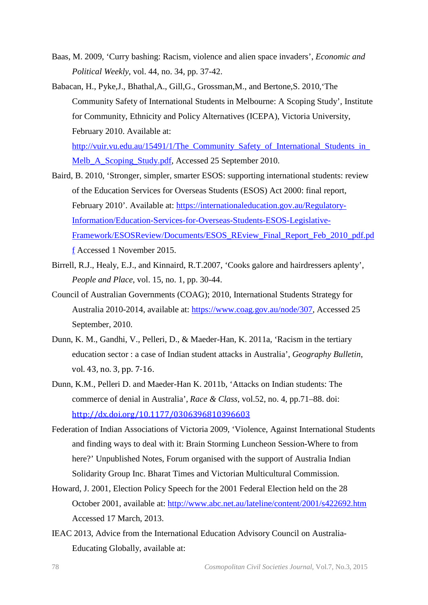- Baas, M. 2009, 'Curry bashing: Racism, violence and alien space invaders', *Economic and Political Weekly*, vol. 44, no. 34, pp. 37-42.
- Babacan, H., Pyke,J., Bhathal,A., Gill,G., Grossman,M., and Bertone,S. 2010,'The Community Safety of International Students in Melbourne: A Scoping Study', Institute for Community, Ethnicity and Policy Alternatives (ICEPA), Victoria University, February 2010. Available at:

http://vuir.vu.edu.au/15491/1/The Community Safety of International Students in [Melb\\_A\\_Scoping\\_Study.pdf,](http://vuir.vu.edu.au/15491/1/The_Community_Safety_of_International_Students_in_Melb_A_Scoping_Study.pdf) Accessed 25 September 2010.

- Baird, B. 2010, 'Stronger, simpler, smarter ESOS: supporting international students: review of the Education Services for Overseas Students (ESOS) Act 2000: final report, February 2010'. Available at: [https://internationaleducation.gov.au/Regulatory-](https://internationaleducation.gov.au/Regulatory-Information/Education-Services-for-Overseas-Students-ESOS-Legislative-Framework/ESOSReview/Documents/ESOS_REview_Final_Report_Feb_2010_pdf.pdf)[Information/Education-Services-for-Overseas-Students-ESOS-Legislative-](https://internationaleducation.gov.au/Regulatory-Information/Education-Services-for-Overseas-Students-ESOS-Legislative-Framework/ESOSReview/Documents/ESOS_REview_Final_Report_Feb_2010_pdf.pdf)[Framework/ESOSReview/Documents/ESOS\\_REview\\_Final\\_Report\\_Feb\\_2010\\_pdf.pd](https://internationaleducation.gov.au/Regulatory-Information/Education-Services-for-Overseas-Students-ESOS-Legislative-Framework/ESOSReview/Documents/ESOS_REview_Final_Report_Feb_2010_pdf.pdf) [f](https://internationaleducation.gov.au/Regulatory-Information/Education-Services-for-Overseas-Students-ESOS-Legislative-Framework/ESOSReview/Documents/ESOS_REview_Final_Report_Feb_2010_pdf.pdf) Accessed 1 November 2015.
- Birrell, R.J., Healy, E.J., and Kinnaird, R.T.2007, 'Cooks galore and hairdressers aplenty', *People and Place*, vol. 15, no. 1, pp. 30-44.
- Council of Australian Governments (COAG); 2010, International Students Strategy for Australia 2010-2014, available at: [https://www.coag.gov.au/node/307,](https://www.coag.gov.au/node/307) Accessed 25 September, 2010.
- Dunn, K. M., Gandhi, V., Pelleri, D., & Maeder-Han, K. 2011a, 'Racism in the tertiary education sector : a case of Indian student attacks in Australia', *Geography Bulletin*, vol. 43, no. 3, pp. 7-16.
- Dunn, K.M., Pelleri D. and Maeder-Han K. 2011b, 'Attacks on Indian students: The commerce of denial in Australia', *Race & Class*, vol.52, no. 4, pp.71–88. doi: <http://dx.doi.org/10.1177/0306396810396603>
- Federation of Indian Associations of Victoria 2009, 'Violence, Against International Students and finding ways to deal with it: Brain Storming Luncheon Session-Where to from here?' Unpublished Notes, Forum organised with the support of Australia Indian Solidarity Group Inc. Bharat Times and Victorian Multicultural Commission.
- Howard, J. 2001, Election Policy Speech for the 2001 Federal Election held on the 28 October 2001, available at:<http://www.abc.net.au/lateline/content/2001/s422692.htm> Accessed 17 March, 2013.
- IEAC 2013, Advice from the International Education Advisory Council on Australia-Educating Globally, available at: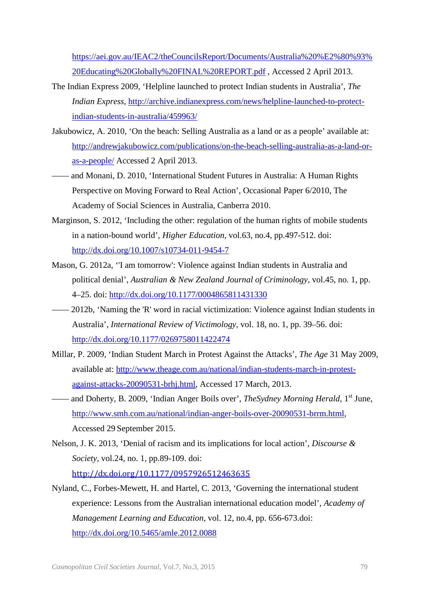[https://aei.gov.au/IEAC2/theCouncilsReport/Documents/Australia%20%E2%80%93%](https://aei.gov.au/IEAC2/theCouncilsReport/Documents/Australia%20%E2%80%93%20Educating%20Globally%20FINAL%20REPORT.pdf) [20Educating%20Globally%20FINAL%20REPORT.pdf](https://aei.gov.au/IEAC2/theCouncilsReport/Documents/Australia%20%E2%80%93%20Educating%20Globally%20FINAL%20REPORT.pdf) , Accessed 2 April 2013.

- The Indian Express 2009, 'Helpline launched to protect Indian students in Australia', *The Indian Express*, [http://archive.indianexpress.com/news/helpline-launched-to-protect](http://archive.indianexpress.com/news/helpline-launched-to-protect-indian-students-in-australia/459963/)[indian-students-in-australia/459963/](http://archive.indianexpress.com/news/helpline-launched-to-protect-indian-students-in-australia/459963/)
- Jakubowicz, A. 2010, 'On the beach: Selling Australia as a land or as a people' available at: [http://andrewjakubowicz.com/publications/on-the-beach-selling-australia-as-a-land-or](http://andrewjakubowicz.com/publications/on-the-beach-selling-australia-as-a-land-or-as-a-people/)[as-a-people/](http://andrewjakubowicz.com/publications/on-the-beach-selling-australia-as-a-land-or-as-a-people/) Accessed 2 April 2013.
- —— and Monani, D. 2010, 'International Student Futures in Australia: A Human Rights Perspective on Moving Forward to Real Action', Occasional Paper 6/2010, The Academy of Social Sciences in Australia, Canberra 2010.
- Marginson, S. 2012, 'Including the other: regulation of the human rights of mobile students in a nation-bound world', *Higher Education*, vol.63, no.4, pp.497-512. doi: <http://dx.doi.org/10.1007/s10734-011-9454-7>
- Mason, G. 2012a, ''I am tomorrow': Violence against Indian students in Australia and political denial', *Australian & New Zealand Journal of Criminology*, vol.45, no. 1, pp. 4–25. doi:<http://dx.doi.org/10.1177/0004865811431330>
- —— 2012b, 'Naming the 'R' word in racial victimization: Violence against Indian students in Australia', *International Review of Victimology*, vol. 18, no. 1, pp. 39–56. doi: <http://dx.doi.org/10.1177/0269758011422474>
- Millar, P. 2009, 'Indian Student March in Protest Against the Attacks', *The Age* 31 May 2009, available at: [http://www.theage.com.au/national/indian-students-march-in-protest](http://www.theage.com.au/national/indian-students-march-in-protest-against-attacks-20090531-brhj.html)[against-attacks-20090531-brhj.html,](http://www.theage.com.au/national/indian-students-march-in-protest-against-attacks-20090531-brhj.html) Accessed 17 March, 2013.
- and Doherty, B. 2009, 'Indian Anger Boils over', *TheSydney Morning Herald*, 1<sup>st</sup> June, [http://www.smh.com.au/national/indian-anger-boils-over-20090531-brrm.html,](http://www.smh.com.au/national/indian-anger-boils-over-20090531-brrm.html) Accessed 29 September 2015.
- Nelson, J. K. 2013, 'Denial of racism and its implications for local action', *Discourse & Society*, vol.24, no. 1, pp.89-109. doi: <http://dx.doi.org/10.1177/0957926512463635>
- Nyland, C., Forbes-Mewett, H. and Hartel, C. 2013, 'Governing the international student experience: Lessons from the Australian international education model', *Academy of Management Learning and Education,* vol. 12, no.4, pp. 656-673.doi: <http://dx.doi.org/10.5465/amle.2012.0088>